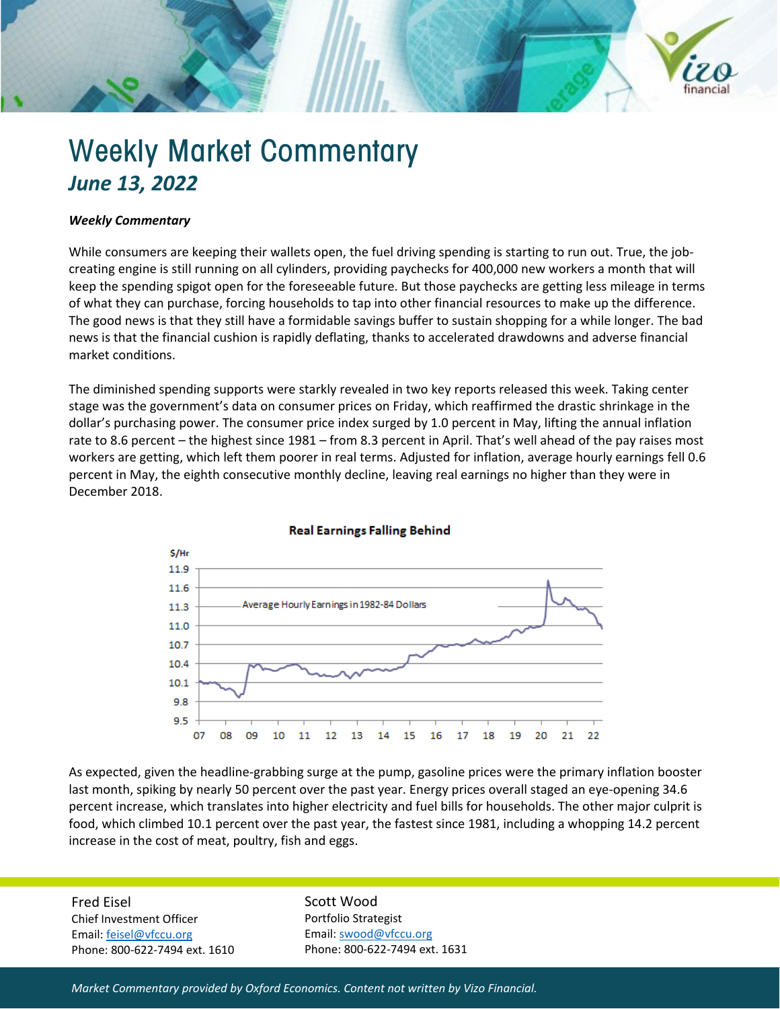

## Weekly Market Commentary *June 13, 2022*

## *Weekly Commentary*

While consumers are keeping their wallets open, the fuel driving spending is starting to run out. True, the jobcreating engine is still running on all cylinders, providing paychecks for 400,000 new workers a month that will keep the spending spigot open for the foreseeable future. But those paychecks are getting less mileage in terms of what they can purchase, forcing households to tap into other financial resources to make up the difference. The good news is that they still have a formidable savings buffer to sustain shopping for a while longer. The bad news is that the financial cushion is rapidly deflating, thanks to accelerated drawdowns and adverse financial market conditions.

The diminished spending supports were starkly revealed in two key reports released this week. Taking center stage was the government's data on consumer prices on Friday, which reaffirmed the drastic shrinkage in the dollar's purchasing power. The consumer price index surged by 1.0 percent in May, lifting the annual inflation rate to 8.6 percent – the highest since 1981 – from 8.3 percent in April. That's well ahead of the pay raises most workers are getting, which left them poorer in real terms. Adjusted for inflation, average hourly earnings fell 0.6 percent in May, the eighth consecutive monthly decline, leaving real earnings no higher than they were in December 2018.



## **Real Earnings Falling Behind**

As expected, given the headline-grabbing surge at the pump, gasoline prices were the primary inflation booster last month, spiking by nearly 50 percent over the past year. Energy prices overall staged an eye-opening 34.6 percent increase, which translates into higher electricity and fuel bills for households. The other major culprit is food, which climbed 10.1 percent over the past year, the fastest since 1981, including a whopping 14.2 percent increase in the cost of meat, poultry, fish and eggs.

Fred Eisel Chief Investment Officer Email[: feisel@vfccu.org](mailto:feisel@vfccu.org) Phone: 800-622-7494 ext. 1610 Scott Wood Portfolio Strategist Email[: swood@vfccu.org](mailto:swood@vfccu.org) Phone: 800-622-7494 ext. 1631

*Market Commentary provided by Oxford Economics. Content not written by Vizo Financial.*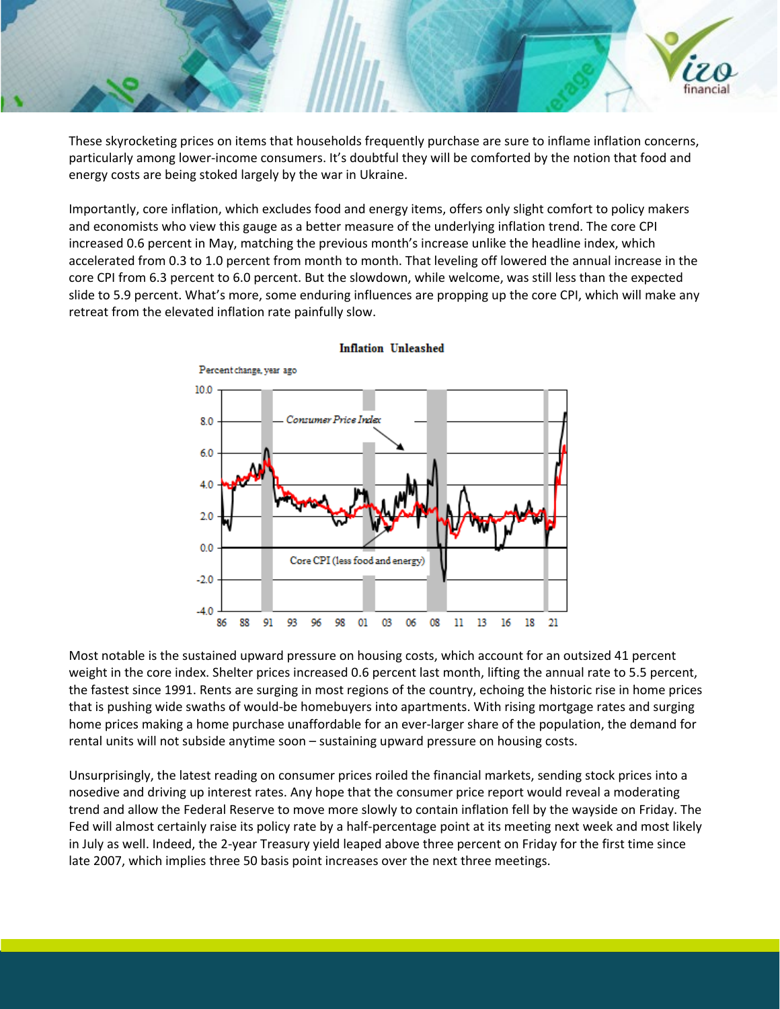These skyrocketing prices on items that households frequently purchase are sure to inflame inflation concerns, particularly among lower-income consumers. It's doubtful they will be comforted by the notion that food and energy costs are being stoked largely by the war in Ukraine.

Importantly, core inflation, which excludes food and energy items, offers only slight comfort to policy makers and economists who view this gauge as a better measure of the underlying inflation trend. The core CPI increased 0.6 percent in May, matching the previous month's increase unlike the headline index, which accelerated from 0.3 to 1.0 percent from month to month. That leveling off lowered the annual increase in the core CPI from 6.3 percent to 6.0 percent. But the slowdown, while welcome, was still less than the expected slide to 5.9 percent. What's more, some enduring influences are propping up the core CPI, which will make any retreat from the elevated inflation rate painfully slow.



**Inflation Unleashed** 

Most notable is the sustained upward pressure on housing costs, which account for an outsized 41 percent weight in the core index. Shelter prices increased 0.6 percent last month, lifting the annual rate to 5.5 percent, the fastest since 1991. Rents are surging in most regions of the country, echoing the historic rise in home prices that is pushing wide swaths of would-be homebuyers into apartments. With rising mortgage rates and surging home prices making a home purchase unaffordable for an ever-larger share of the population, the demand for rental units will not subside anytime soon – sustaining upward pressure on housing costs.

Unsurprisingly, the latest reading on consumer prices roiled the financial markets, sending stock prices into a nosedive and driving up interest rates. Any hope that the consumer price report would reveal a moderating trend and allow the Federal Reserve to move more slowly to contain inflation fell by the wayside on Friday. The Fed will almost certainly raise its policy rate by a half-percentage point at its meeting next week and most likely in July as well. Indeed, the 2-year Treasury yield leaped above three percent on Friday for the first time since late 2007, which implies three 50 basis point increases over the next three meetings.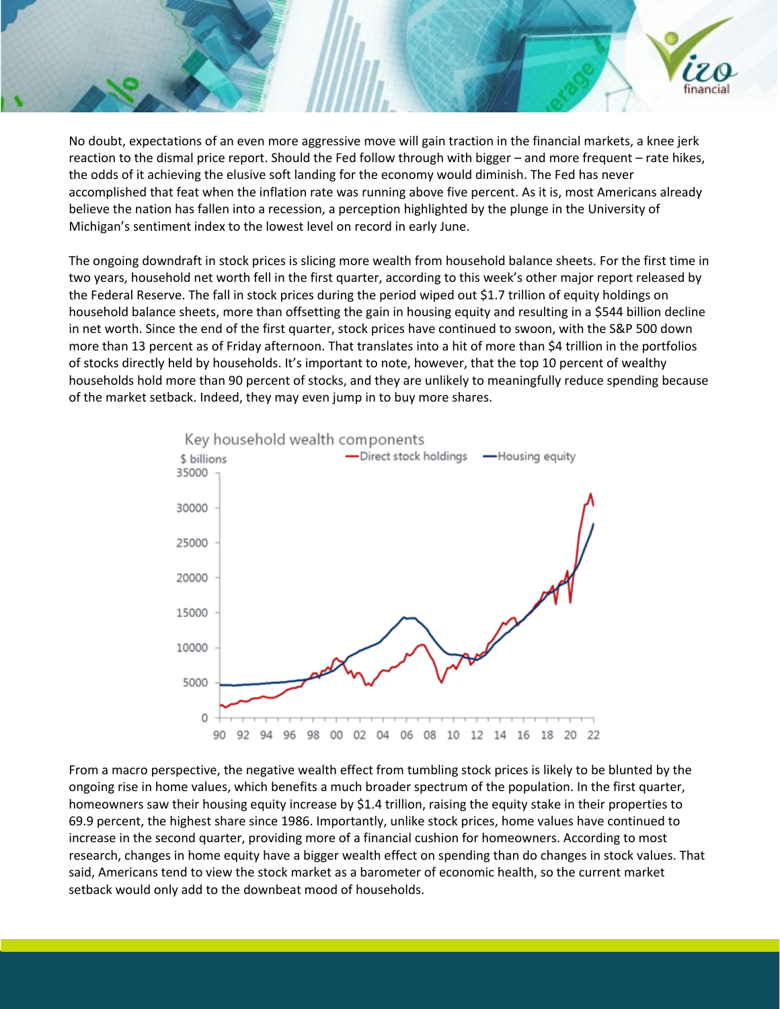

No doubt, expectations of an even more aggressive move will gain traction in the financial markets, a knee jerk reaction to the dismal price report. Should the Fed follow through with bigger – and more frequent – rate hikes, the odds of it achieving the elusive soft landing for the economy would diminish. The Fed has never accomplished that feat when the inflation rate was running above five percent. As it is, most Americans already believe the nation has fallen into a recession, a perception highlighted by the plunge in the University of Michigan's sentiment index to the lowest level on record in early June.

The ongoing downdraft in stock prices is slicing more wealth from household balance sheets. For the first time in two years, household net worth fell in the first quarter, according to this week's other major report released by the Federal Reserve. The fall in stock prices during the period wiped out \$1.7 trillion of equity holdings on household balance sheets, more than offsetting the gain in housing equity and resulting in a \$544 billion decline in net worth. Since the end of the first quarter, stock prices have continued to swoon, with the S&P 500 down more than 13 percent as of Friday afternoon. That translates into a hit of more than \$4 trillion in the portfolios of stocks directly held by households. It's important to note, however, that the top 10 percent of wealthy households hold more than 90 percent of stocks, and they are unlikely to meaningfully reduce spending because of the market setback. Indeed, they may even jump in to buy more shares.



From a macro perspective, the negative wealth effect from tumbling stock prices is likely to be blunted by the ongoing rise in home values, which benefits a much broader spectrum of the population. In the first quarter, homeowners saw their housing equity increase by \$1.4 trillion, raising the equity stake in their properties to 69.9 percent, the highest share since 1986. Importantly, unlike stock prices, home values have continued to increase in the second quarter, providing more of a financial cushion for homeowners. According to most research, changes in home equity have a bigger wealth effect on spending than do changes in stock values. That said, Americans tend to view the stock market as a barometer of economic health, so the current market setback would only add to the downbeat mood of households.